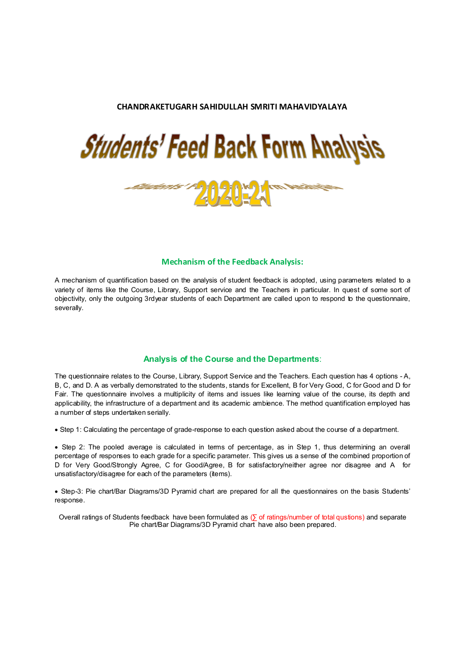#### **CHANDRAKETUGARH SAHIDULLAH SMRITI MAHAVIDYALAYA**





#### **Mechanism of the Feedback Analysis:**

A mechanism of quantification based on the analysis of student feedback is adopted, using parameters related to a variety of items like the Course, Library, Support service and the Teachers in particular. In quest of some sort of objectivity, only the outgoing 3rdyear students of each Department are called upon to respond to the questionnaire, severally.

#### **Analysis of the Course and the Departments**:

The questionnaire relates to the Course, Library, Support Service and the Teachers. Each question has 4 options - A, B, C, and D. A as verbally demonstrated to the students, stands for Excellent, B for Very Good, C for Good and D for Fair. The questionnaire involves a multiplicity of items and issues like learning value of the course, its depth and applicability, the infrastructure of a department and its academic ambience. The method quantification employed has a number of steps undertaken serially.

Step 1: Calculating the percentage of grade-response to each question asked about the course of a department.

 Step 2: The pooled average is calculated in terms of percentage, as in Step 1, thus determining an overall percentage of responses to each grade for a specific parameter. This gives us a sense of the combined proportion of D for Very Good/Strongly Agree, C for Good/Agree, B for satisfactory/neither agree nor disagree and A for unsatisfactory/disagree for each of the parameters (items).

 Step-3: Pie chart/Bar Diagrams/3D Pyramid chart are prepared for all the questionnaires on the basis Students' response.

Overall ratings of Students feedback have been formulated as ( $\overline{p}$  of ratings/number of total qustions) and separate Pie chart/Bar Diagrams/3D Pyramid chart have also been prepared.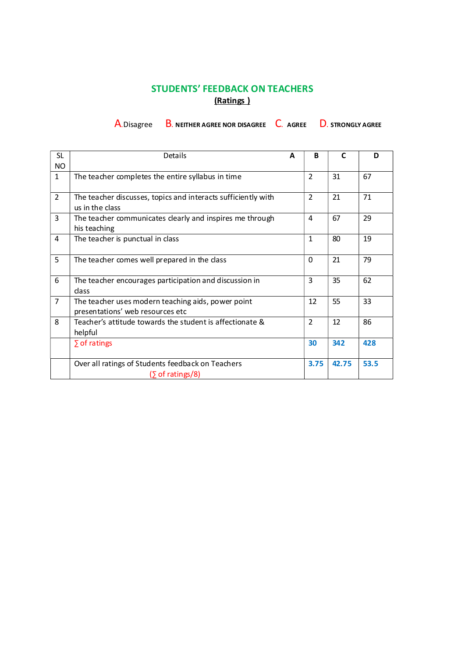## **STUDENTS' FEEDBACK ON TEACHERS (Ratings )**

A.Disagree B. **NEITHER AGREE NOR DISAGREE** C. **AGREE** D. **STRONGLY AGREE**

| <b>SL</b>      | Details                                                                                | A | B              | C     | D    |
|----------------|----------------------------------------------------------------------------------------|---|----------------|-------|------|
| <b>NO</b>      |                                                                                        |   |                |       |      |
| $\mathbf{1}$   | The teacher completes the entire syllabus in time                                      |   | $\overline{2}$ | 31    | 67   |
| $\overline{2}$ | The teacher discusses, topics and interacts sufficiently with<br>us in the class       |   | $\overline{2}$ | 21    | 71   |
| 3              | The teacher communicates clearly and inspires me through<br>his teaching               |   | 4              | 67    | 29   |
| 4              | The teacher is punctual in class                                                       |   | $\mathbf{1}$   | 80    | 19   |
| 5              | The teacher comes well prepared in the class                                           |   | $\Omega$       | 21    | 79   |
| 6              | The teacher encourages participation and discussion in<br>class                        |   | 3              | 35    | 62   |
| $\overline{7}$ | The teacher uses modern teaching aids, power point<br>presentations' web resources etc |   | 12             | 55    | 33   |
| 8              | Teacher's attitude towards the student is affectionate &<br>helpful                    |   | $\overline{2}$ | 12    | 86   |
|                | $\sum$ of ratings                                                                      |   | 30             | 342   | 428  |
|                | Over all ratings of Students feedback on Teachers<br>$(\Sigma \text{ of ratings}/8)$   |   | 3.75           | 42.75 | 53.5 |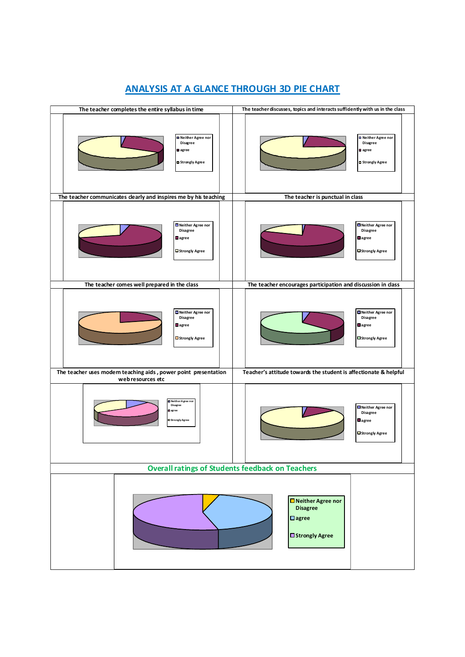

## **ANALYSIS AT A GLANCE THROUGH 3D PIE CHART**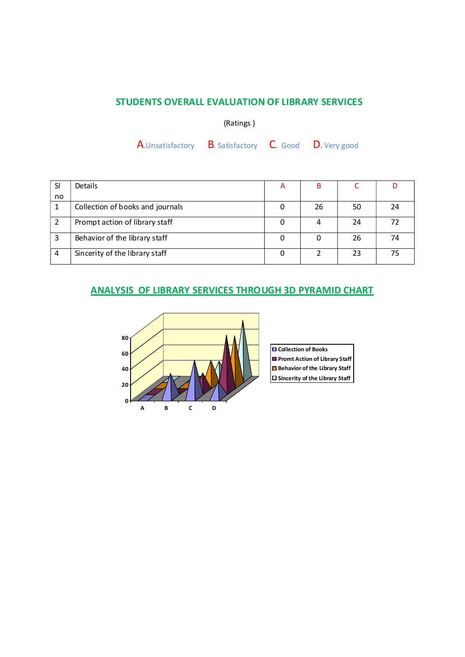### **STUDENTS OVERALL EVALUATION OF LIBRARY SERVICES**

(Ratings )

A.Unsatisfactory B. Satisfactory C. Good D. Very good

| SI | Details                          | A |    |    |    |
|----|----------------------------------|---|----|----|----|
| no |                                  |   |    |    |    |
|    | Collection of books and journals |   | 26 | 50 | 24 |
|    | Prompt action of library staff   |   |    | 24 | 72 |
|    | Behavior of the library staff    |   |    | 26 | 74 |
|    | Sincerity of the library staff   |   |    | 23 | 75 |

### **ANALYSIS OF LIBRARY SERVICES THROUGH 3D PYRAMID CHART**



**Collection of Books Promt Action of Library Staff Sincerity of the Library Staff**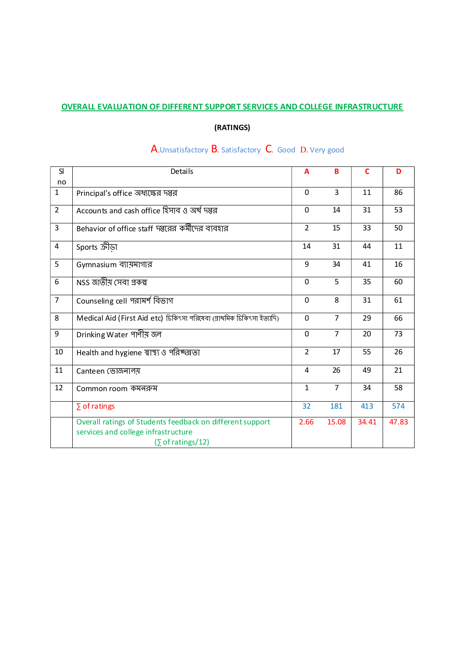### **OVERALL EVALUATION OF DIFFERENT SUPPORT SERVICES AND COLLEGE INFRASTRUCTURE**

## **(RATINGS)**

| SI             | Details                                                                                                                              | A              | B              | $\mathbf C$ | D     |
|----------------|--------------------------------------------------------------------------------------------------------------------------------------|----------------|----------------|-------------|-------|
| no             |                                                                                                                                      |                |                |             |       |
| $\mathbf{1}$   | Principal's office অধ্যক্ষের দপ্তর                                                                                                   | $\Omega$       | 3              | 11          | 86    |
| $\overline{2}$ | Accounts and cash office হিসাব ও অৰ্থ দম্ভর                                                                                          | $\mathbf 0$    | 14             | 31          | 53    |
| 3              | Behavior of office staff দ্গুরের কর্মীদের ব্যবহার                                                                                    | $\overline{2}$ | 15             | 33          | 50    |
| 4              | Sports ক্ৰীডা                                                                                                                        | 14             | 31             | 44          | 11    |
| 5              | Gymnasium ব্যায়মাগার                                                                                                                | 9              | 34             | 41          | 16    |
| 6              | NSS জাতীয় সেবা প্ৰকল্প                                                                                                              | $\Omega$       | 5              | 35          | 60    |
| $\overline{7}$ | Counseling cell পরামর্শ বিভাগ                                                                                                        | $\mathbf 0$    | 8              | 31          | 61    |
| 8              | Medical Aid (First Aid etc) চিকিৎসা পরিষেবা (প্রাথমিক চিকিৎসা ইত্যাদি)                                                               | $\Omega$       | $\overline{7}$ | 29          | 66    |
| 9              | Drinking Water পাণীয় জল                                                                                                             | $\Omega$       | $\overline{7}$ | 20          | 73    |
| 10             | Health and hygiene স্বাস্থ্য ও পরিষ্কল্লতা                                                                                           | $\overline{2}$ | 17             | 55          | 26    |
| 11             | Canteen ভোজনালয়                                                                                                                     | 4              | 26             | 49          | 21    |
| 12             | Common room কমনক্রম                                                                                                                  | $\mathbf{1}$   | 7              | 34          | 58    |
|                | $\Sigma$ of ratings                                                                                                                  | 32             | 181            | 413         | 574   |
|                | Overall ratings of Students feedback on different support<br>services and college infrastructure<br>$(\Sigma \text{ of ratings}/12)$ | 2.66           | 15.08          | 34.41       | 47.83 |

# A.Unsatisfactory B. Satisfactory C. Good D. Very good